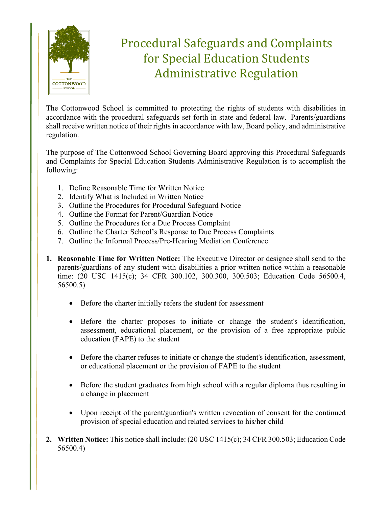

## Procedural Safeguards and Complaints for Special Education Students Administrative Regulation

The Cottonwood School is committed to protecting the rights of students with disabilities in accordance with the procedural safeguards set forth in state and federal law. Parents/guardians shall receive written notice of their rights in accordance with law, Board policy, and administrative regulation.

The purpose of The Cottonwood School Governing Board approving this Procedural Safeguards and Complaints for Special Education Students Administrative Regulation is to accomplish the following:

- 1. Define Reasonable Time for Written Notice
- 2. Identify What is Included in Written Notice
- 3. Outline the Procedures for Procedural Safeguard Notice
- 4. Outline the Format for Parent/Guardian Notice
- 5. Outline the Procedures for a Due Process Complaint
- 6. Outline the Charter School's Response to Due Process Complaints
- 7. Outline the Informal Process/Pre-Hearing Mediation Conference
- **1. Reasonable Time for Written Notice:** The Executive Director or designee shall send to the parents/guardians of any student with disabilities a prior written notice within a reasonable time: (20 USC 1415(c); 34 CFR 300.102, 300.300, 300.503; Education Code 56500.4, 56500.5)
	- Before the charter initially refers the student for assessment
	- Before the charter proposes to initiate or change the student's identification, assessment, educational placement, or the provision of a free appropriate public education (FAPE) to the student
	- Before the charter refuses to initiate or change the student's identification, assessment, or educational placement or the provision of FAPE to the student
	- Before the student graduates from high school with a regular diploma thus resulting in a change in placement
	- Upon receipt of the parent/guardian's written revocation of consent for the continued provision of special education and related services to his/her child
- **2. Written Notice:** This notice shall include: (20 USC 1415(c); 34 CFR 300.503; Education Code 56500.4)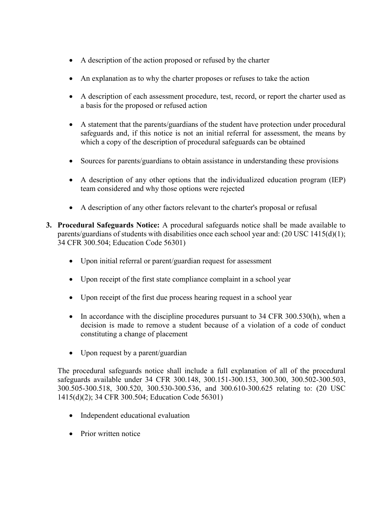- A description of the action proposed or refused by the charter
- An explanation as to why the charter proposes or refuses to take the action
- A description of each assessment procedure, test, record, or report the charter used as a basis for the proposed or refused action
- A statement that the parents/guardians of the student have protection under procedural safeguards and, if this notice is not an initial referral for assessment, the means by which a copy of the description of procedural safeguards can be obtained
- Sources for parents/guardians to obtain assistance in understanding these provisions
- A description of any other options that the individualized education program (IEP) team considered and why those options were rejected
- A description of any other factors relevant to the charter's proposal or refusal
- **3. Procedural Safeguards Notice:** A procedural safeguards notice shall be made available to parents/guardians of students with disabilities once each school year and: (20 USC 1415(d)(1); 34 CFR 300.504; Education Code 56301)
	- Upon initial referral or parent/guardian request for assessment
	- Upon receipt of the first state compliance complaint in a school year
	- Upon receipt of the first due process hearing request in a school year
	- In accordance with the discipline procedures pursuant to 34 CFR 300.530(h), when a decision is made to remove a student because of a violation of a code of conduct constituting a change of placement
	- Upon request by a parent/guardian

The procedural safeguards notice shall include a full explanation of all of the procedural safeguards available under 34 CFR 300.148, 300.151-300.153, 300.300, 300.502-300.503, 300.505-300.518, 300.520, 300.530-300.536, and 300.610-300.625 relating to: (20 USC 1415(d)(2); 34 CFR 300.504; Education Code 56301)

- Independent educational evaluation
- Prior written notice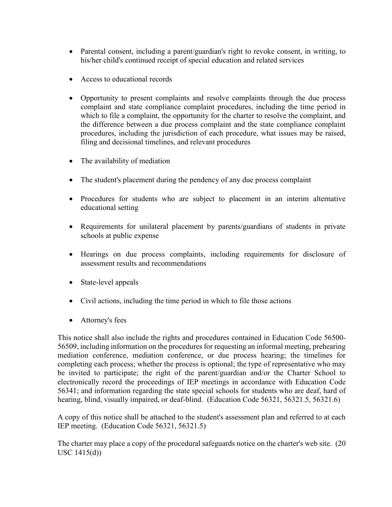- Parental consent, including a parent/guardian's right to revoke consent, in writing, to his/her child's continued receipt of special education and related services
- Access to educational records
- Opportunity to present complaints and resolve complaints through the due process complaint and state compliance complaint procedures, including the time period in which to file a complaint, the opportunity for the charter to resolve the complaint, and the difference between a due process complaint and the state compliance complaint procedures, including the jurisdiction of each procedure, what issues may be raised, filing and decisional timelines, and relevant procedures
- The availability of mediation
- The student's placement during the pendency of any due process complaint
- Procedures for students who are subject to placement in an interim alternative educational setting
- Requirements for unilateral placement by parents/guardians of students in private schools at public expense
- Hearings on due process complaints, including requirements for disclosure of assessment results and recommendations
- State-level appeals
- Civil actions, including the time period in which to file those actions
- Attorney's fees

This notice shall also include the rights and procedures contained in Education Code 56500- 56509, including information on the procedures for requesting an informal meeting, prehearing mediation conference, mediation conference, or due process hearing; the timelines for completing each process; whether the process is optional; the type of representative who may be invited to participate; the right of the parent/guardian and/or the Charter School to electronically record the proceedings of IEP meetings in accordance with Education Code 56341; and information regarding the state special schools for students who are deaf, hard of hearing, blind, visually impaired, or deaf-blind. (Education Code 56321, 56321.5, 56321.6)

A copy of this notice shall be attached to the student's assessment plan and referred to at each IEP meeting. (Education Code 56321, 56321.5)

The charter may place a copy of the procedural safeguards notice on the charter's web site. (20 USC 1415(d))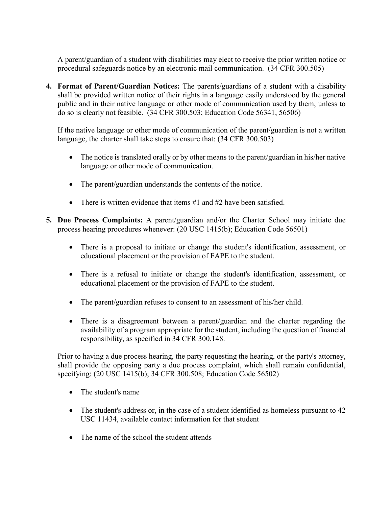A parent/guardian of a student with disabilities may elect to receive the prior written notice or procedural safeguards notice by an electronic mail communication. (34 CFR 300.505)

**4. Format of Parent/Guardian Notices:** The parents/guardians of a student with a disability shall be provided written notice of their rights in a language easily understood by the general public and in their native language or other mode of communication used by them, unless to do so is clearly not feasible. (34 CFR 300.503; Education Code 56341, 56506)

If the native language or other mode of communication of the parent/guardian is not a written language, the charter shall take steps to ensure that: (34 CFR 300.503)

- The notice is translated orally or by other means to the parent/guardian in his/her native language or other mode of communication.
- The parent/guardian understands the contents of the notice.
- There is written evidence that items  $#1$  and  $#2$  have been satisfied.
- **5. Due Process Complaints:** A parent/guardian and/or the Charter School may initiate due process hearing procedures whenever: (20 USC 1415(b); Education Code 56501)
	- There is a proposal to initiate or change the student's identification, assessment, or educational placement or the provision of FAPE to the student.
	- There is a refusal to initiate or change the student's identification, assessment, or educational placement or the provision of FAPE to the student.
	- The parent/guardian refuses to consent to an assessment of his/her child.
	- There is a disagreement between a parent/guardian and the charter regarding the availability of a program appropriate for the student, including the question of financial responsibility, as specified in 34 CFR 300.148.

Prior to having a due process hearing, the party requesting the hearing, or the party's attorney, shall provide the opposing party a due process complaint, which shall remain confidential, specifying: (20 USC 1415(b); 34 CFR 300.508; Education Code 56502)

- The student's name
- The student's address or, in the case of a student identified as homeless pursuant to 42 USC 11434, available contact information for that student
- The name of the school the student attends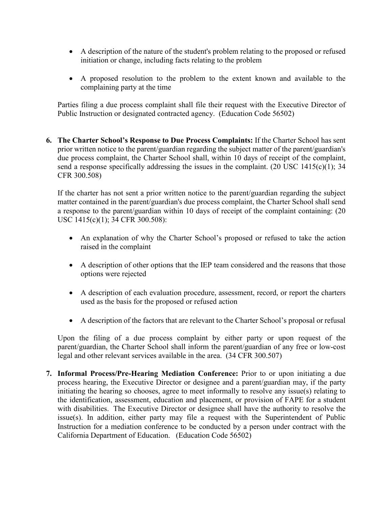- A description of the nature of the student's problem relating to the proposed or refused initiation or change, including facts relating to the problem
- A proposed resolution to the problem to the extent known and available to the complaining party at the time

Parties filing a due process complaint shall file their request with the Executive Director of Public Instruction or designated contracted agency. (Education Code 56502)

**6. The Charter School's Response to Due Process Complaints:** If the Charter School has sent prior written notice to the parent/guardian regarding the subject matter of the parent/guardian's due process complaint, the Charter School shall, within 10 days of receipt of the complaint, send a response specifically addressing the issues in the complaint. (20 USC 1415(c)(1); 34 CFR 300.508)

If the charter has not sent a prior written notice to the parent/guardian regarding the subject matter contained in the parent/guardian's due process complaint, the Charter School shall send a response to the parent/guardian within 10 days of receipt of the complaint containing: (20 USC 1415(c)(1); 34 CFR 300.508):

- An explanation of why the Charter School's proposed or refused to take the action raised in the complaint
- A description of other options that the IEP team considered and the reasons that those options were rejected
- A description of each evaluation procedure, assessment, record, or report the charters used as the basis for the proposed or refused action
- A description of the factors that are relevant to the Charter School's proposal or refusal

Upon the filing of a due process complaint by either party or upon request of the parent/guardian, the Charter School shall inform the parent/guardian of any free or low-cost legal and other relevant services available in the area. (34 CFR 300.507)

**7. Informal Process/Pre-Hearing Mediation Conference:** Prior to or upon initiating a due process hearing, the Executive Director or designee and a parent/guardian may, if the party initiating the hearing so chooses, agree to meet informally to resolve any issue(s) relating to the identification, assessment, education and placement, or provision of FAPE for a student with disabilities. The Executive Director or designee shall have the authority to resolve the issue(s). In addition, either party may file a request with the Superintendent of Public Instruction for a mediation conference to be conducted by a person under contract with the California Department of Education. (Education Code 56502)